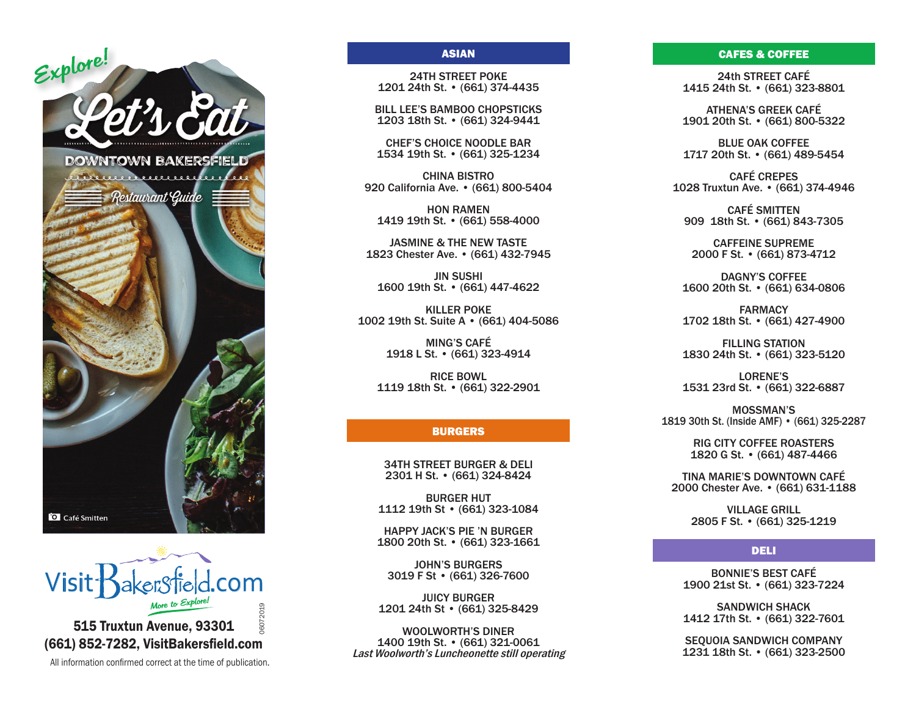



6072019 515 Truxtun Avenue, 93301 (661) 852-7282, VisitBakersfield.com

All information confirmed correct at the time of publication.

06072019

### ASIAN

24TH STREET POKE 1201 24th St. • (661) 374-4435

BILL LEE'S BAMBOO CHOPSTICKS 1203 18th St. • (661) 324-9441

CHEF'S CHOICE NOODLE BAR 1534 19th St. • (661) 325-1234

CHINA BISTRO 920 California Ave. • (661) 800-5404

HON RAMEN 1419 19th St. • (661) 558-4000

JASMINE & THE NEW TASTE 1823 Chester Ave. • (661) 432-7945

JIN SUSHI 1600 19th St. • (661) 447-4622

KILLER POKE 1002 19th St. Suite A • (661) 404-5086

> MING'S CAFÉ 1918 L St. • (661) 323-4914

RICE BOWL 1119 18th St. • (661) 322-2901

# BURGERS

34TH STREET BURGER & DELI 2301 H St. • (661) 324-8424

BURGER HUT 1112 19th St • (661) 323-1084

HAPPY JACK'S PIE 'N BURGER 1800 20th St. • (661) 323-1661

JOHN'S BURGERS 3019 F St • (661) 326-7600

JUICY BURGER 1201 24th St • (661) 325-8429

WOOLWORTH'S DINER 1400 19th St. • (661) 321-0061 Last Woolworth's Luncheonette still operating

#### CAFES & COFFEE

24th STREET CAFÉ 1415 24th St. • (661) 323-8801

ATHENA'S GREEK CAFÉ 1901 20th St. • (661) 800-5322

BLUE OAK COFFEE 1717 20th St. • (661) 489-5454

CAFÉ CREPES 1028 Truxtun Ave. • (661) 374-4946

CAFÉ SMITTEN 909 18th St. • (661) 843-7305

CAFFEINE SUPREME 2000 F St. • (661) 873-4712

DAGNY'S COFFEE 1600 20th St. • (661) 634-0806

FARMACY 1702 18th St. • (661) 427-4900

FILLING STATION 1830 24th St. • (661) 323-5120

LORENE'S 1531 23rd St. • (661) 322-6887

MOSSMAN'S 1819 30th St. (Inside AMF) • (661) 325-2287

> RIG CITY COFFEE ROASTERS 1820 G St. • (661) 487-4466

TINA MARIE'S DOWNTOWN CAFÉ 2000 Chester Ave. • (661) 631-1188

> VILLAGE GRILL 2805 F St. • (661) 325-1219

# DELI

BONNIE'S BEST CAFÉ 1900 21st St. • (661) 323-7224

SANDWICH SHACK 1412 17th St. • (661) 322-7601

SEQUOIA SANDWICH COMPANY 1231 18th St. • (661) 323-2500